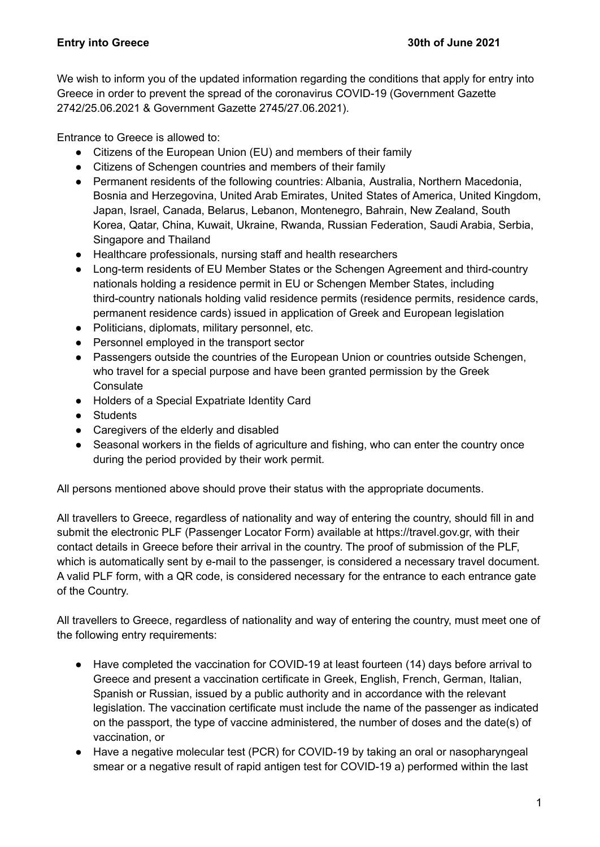We wish to inform you of the updated information regarding the conditions that apply for entry into Greece in order to prevent the spread of the coronavirus COVID-19 (Government Gazette 2742/25.06.2021 & Government Gazette 2745/27.06.2021).

Entrance to Greece is allowed to:

- Citizens of the European Union (EU) and members of their family
- Citizens of Schengen countries and members of their family
- Permanent residents of the following countries: Albania, Australia, Northern Macedonia, Bosnia and Herzegovina, United Arab Emirates, United States of America, United Kingdom, Japan, Israel, Canada, Belarus, Lebanon, Montenegro, Bahrain, New Zealand, South Korea, Qatar, China, Kuwait, Ukraine, Rwanda, Russian Federation, Saudi Arabia, Serbia, Singapore and Thailand
- Healthcare professionals, nursing staff and health researchers
- Long-term residents of EU Member States or the Schengen Agreement and third-country nationals holding a residence permit in EU or Schengen Member States, including third-country nationals holding valid residence permits (residence permits, residence cards, permanent residence cards) issued in application of Greek and European legislation
- Politicians, diplomats, military personnel, etc.
- Personnel employed in the transport sector
- Passengers outside the countries of the European Union or countries outside Schengen, who travel for a special purpose and have been granted permission by the Greek **Consulate**
- Holders of a Special Expatriate Identity Card
- Students
- Caregivers of the elderly and disabled
- Seasonal workers in the fields of agriculture and fishing, who can enter the country once during the period provided by their work permit.

All persons mentioned above should prove their status with the appropriate documents.

All travellers to Greece, regardless of nationality and way of entering the country, should fill in and submit the electronic PLF (Passenger Locator Form) available at https://travel.gov.gr, with their contact details in Greece before their arrival in the country. The proof of submission of the PLF, which is automatically sent by e-mail to the passenger, is considered a necessary travel document. A valid PLF form, with a QR code, is considered necessary for the entrance to each entrance gate of the Country.

All travellers to Greece, regardless of nationality and way of entering the country, must meet one of the following entry requirements:

- Have completed the vaccination for COVID-19 at least fourteen (14) days before arrival to Greece and present a vaccination certificate in Greek, English, French, German, Italian, Spanish or Russian, issued by a public authority and in accordance with the relevant legislation. The vaccination certificate must include the name of the passenger as indicated on the passport, the type of vaccine administered, the number of doses and the date(s) of vaccination, or
- Have a negative molecular test (PCR) for COVID-19 by taking an oral or nasopharyngeal smear or a negative result of rapid antigen test for COVID-19 a) performed within the last